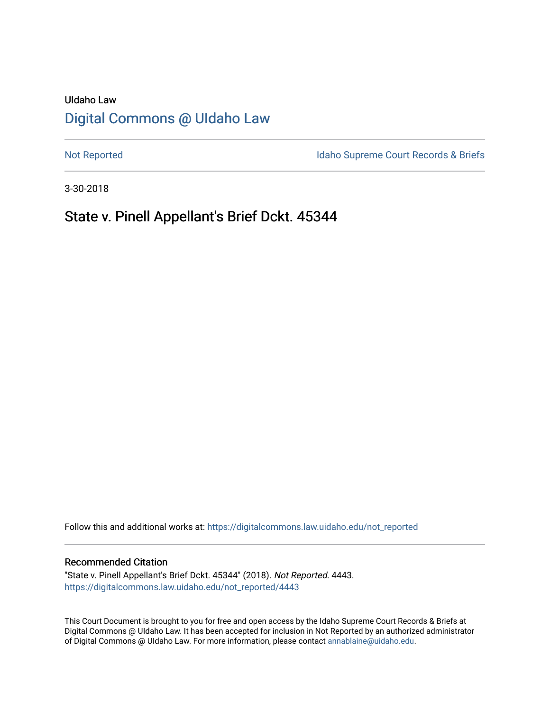# UIdaho Law [Digital Commons @ UIdaho Law](https://digitalcommons.law.uidaho.edu/)

[Not Reported](https://digitalcommons.law.uidaho.edu/not_reported) **Idaho Supreme Court Records & Briefs** 

3-30-2018

# State v. Pinell Appellant's Brief Dckt. 45344

Follow this and additional works at: [https://digitalcommons.law.uidaho.edu/not\\_reported](https://digitalcommons.law.uidaho.edu/not_reported?utm_source=digitalcommons.law.uidaho.edu%2Fnot_reported%2F4443&utm_medium=PDF&utm_campaign=PDFCoverPages) 

#### Recommended Citation

"State v. Pinell Appellant's Brief Dckt. 45344" (2018). Not Reported. 4443. [https://digitalcommons.law.uidaho.edu/not\\_reported/4443](https://digitalcommons.law.uidaho.edu/not_reported/4443?utm_source=digitalcommons.law.uidaho.edu%2Fnot_reported%2F4443&utm_medium=PDF&utm_campaign=PDFCoverPages)

This Court Document is brought to you for free and open access by the Idaho Supreme Court Records & Briefs at Digital Commons @ UIdaho Law. It has been accepted for inclusion in Not Reported by an authorized administrator of Digital Commons @ UIdaho Law. For more information, please contact [annablaine@uidaho.edu](mailto:annablaine@uidaho.edu).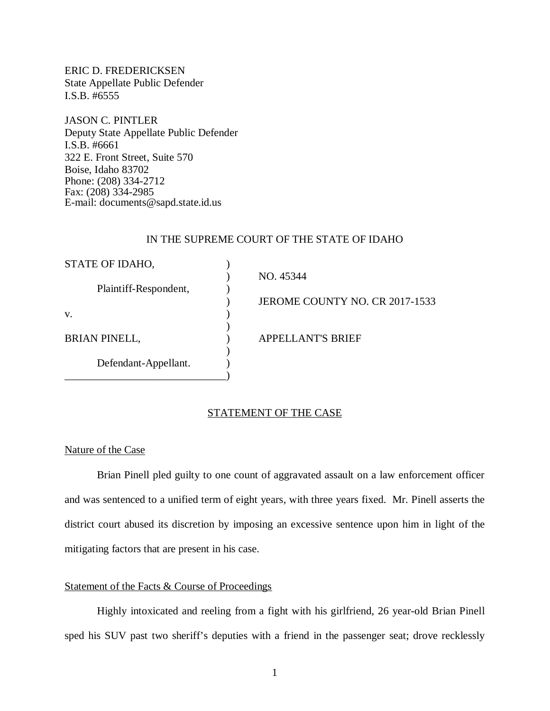ERIC D. FREDERICKSEN State Appellate Public Defender I.S.B. #6555

JASON C. PINTLER Deputy State Appellate Public Defender I.S.B. #6661 322 E. Front Street, Suite 570 Boise, Idaho 83702 Phone: (208) 334-2712 Fax: (208) 334-2985 E-mail: documents@sapd.state.id.us

#### IN THE SUPREME COURT OF THE STATE OF IDAHO

| STATE OF IDAHO,       |                                |
|-----------------------|--------------------------------|
|                       | NO. 45344                      |
| Plaintiff-Respondent, |                                |
|                       | JEROME COUNTY NO. CR 2017-1533 |
| V.                    |                                |
|                       |                                |
| <b>BRIAN PINELL,</b>  | <b>APPELLANT'S BRIEF</b>       |
|                       |                                |
| Defendant-Appellant.  |                                |
|                       |                                |

#### STATEMENT OF THE CASE

### Nature of the Case

Brian Pinell pled guilty to one count of aggravated assault on a law enforcement officer and was sentenced to a unified term of eight years, with three years fixed. Mr. Pinell asserts the district court abused its discretion by imposing an excessive sentence upon him in light of the mitigating factors that are present in his case.

#### Statement of the Facts & Course of Proceedings

Highly intoxicated and reeling from a fight with his girlfriend, 26 year-old Brian Pinell sped his SUV past two sheriff's deputies with a friend in the passenger seat; drove recklessly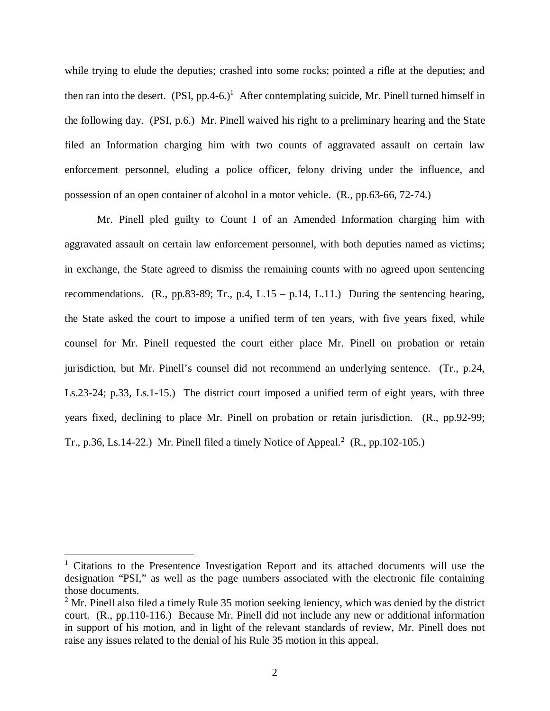while trying to elude the deputies; crashed into some rocks; pointed a rifle at the deputies; and then ran into the desert.  $(PSI, pp.4-6.)$ <sup>[1](#page-2-0)</sup> After contemplating suicide, Mr. Pinell turned himself in the following day. (PSI, p.6.) Mr. Pinell waived his right to a preliminary hearing and the State filed an Information charging him with two counts of aggravated assault on certain law enforcement personnel, eluding a police officer, felony driving under the influence, and possession of an open container of alcohol in a motor vehicle. (R., pp.63-66, 72-74.)

Mr. Pinell pled guilty to Count I of an Amended Information charging him with aggravated assault on certain law enforcement personnel, with both deputies named as victims; in exchange, the State agreed to dismiss the remaining counts with no agreed upon sentencing recommendations. (R., pp.83-89; Tr., p.4, L.15 – p.14, L.11.) During the sentencing hearing, the State asked the court to impose a unified term of ten years, with five years fixed, while counsel for Mr. Pinell requested the court either place Mr. Pinell on probation or retain jurisdiction, but Mr. Pinell's counsel did not recommend an underlying sentence. (Tr., p.24, Ls.23-24; p.33, Ls.1-15.) The district court imposed a unified term of eight years, with three years fixed, declining to place Mr. Pinell on probation or retain jurisdiction. (R., pp.92-99; Tr., p.36, Ls.14-[2](#page-2-1)2.) Mr. Pinell filed a timely Notice of Appeal.<sup>2</sup> (R., pp.102-105.)

<span id="page-2-0"></span><sup>&</sup>lt;sup>1</sup> Citations to the Presentence Investigation Report and its attached documents will use the designation "PSI," as well as the page numbers associated with the electronic file containing those documents.

<span id="page-2-1"></span> $2^2$  Mr. Pinell also filed a timely Rule 35 motion seeking leniency, which was denied by the district court. (R., pp.110-116.) Because Mr. Pinell did not include any new or additional information in support of his motion, and in light of the relevant standards of review, Mr. Pinell does not raise any issues related to the denial of his Rule 35 motion in this appeal.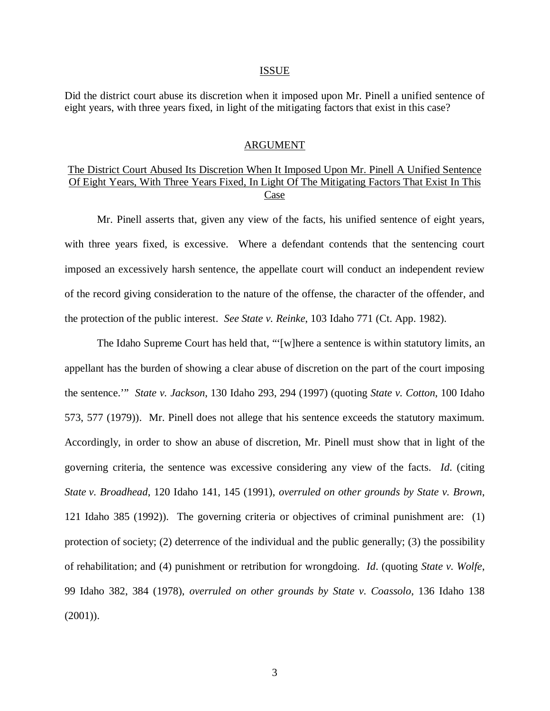#### ISSUE

Did the district court abuse its discretion when it imposed upon Mr. Pinell a unified sentence of eight years, with three years fixed, in light of the mitigating factors that exist in this case?

#### ARGUMENT

## The District Court Abused Its Discretion When It Imposed Upon Mr. Pinell A Unified Sentence Of Eight Years, With Three Years Fixed, In Light Of The Mitigating Factors That Exist In This Case

Mr. Pinell asserts that, given any view of the facts, his unified sentence of eight years, with three years fixed, is excessive. Where a defendant contends that the sentencing court imposed an excessively harsh sentence, the appellate court will conduct an independent review of the record giving consideration to the nature of the offense, the character of the offender, and the protection of the public interest. *See State v. Reinke*, 103 Idaho 771 (Ct. App. 1982).

The Idaho Supreme Court has held that, "'[w]here a sentence is within statutory limits, an appellant has the burden of showing a clear abuse of discretion on the part of the court imposing the sentence.'" *State v. Jackson*, 130 Idaho 293, 294 (1997) (quoting *State v. Cotton*, 100 Idaho 573, 577 (1979)). Mr. Pinell does not allege that his sentence exceeds the statutory maximum. Accordingly, in order to show an abuse of discretion, Mr. Pinell must show that in light of the governing criteria, the sentence was excessive considering any view of the facts. *Id*. (citing *State v. Broadhead*, 120 Idaho 141, 145 (1991), *overruled on other grounds by State v. Brown*, 121 Idaho 385 (1992)). The governing criteria or objectives of criminal punishment are: (1) protection of society; (2) deterrence of the individual and the public generally; (3) the possibility of rehabilitation; and (4) punishment or retribution for wrongdoing. *Id*. (quoting *State v. Wolfe*, 99 Idaho 382, 384 (1978), *overruled on other grounds by State v. Coassolo*, 136 Idaho 138 (2001)).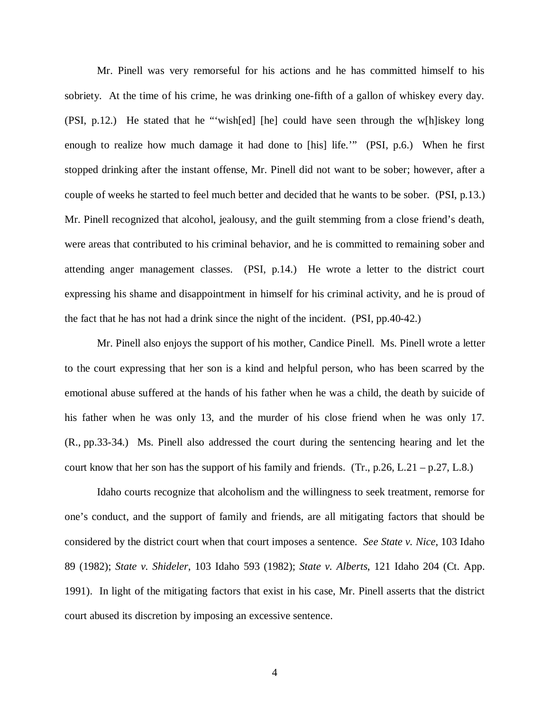Mr. Pinell was very remorseful for his actions and he has committed himself to his sobriety. At the time of his crime, he was drinking one-fifth of a gallon of whiskey every day. (PSI, p.12.) He stated that he "'wish[ed] [he] could have seen through the w[h]iskey long enough to realize how much damage it had done to [his] life.'" (PSI, p.6.) When he first stopped drinking after the instant offense, Mr. Pinell did not want to be sober; however, after a couple of weeks he started to feel much better and decided that he wants to be sober. (PSI, p.13.) Mr. Pinell recognized that alcohol, jealousy, and the guilt stemming from a close friend's death, were areas that contributed to his criminal behavior, and he is committed to remaining sober and attending anger management classes. (PSI, p.14.) He wrote a letter to the district court expressing his shame and disappointment in himself for his criminal activity, and he is proud of the fact that he has not had a drink since the night of the incident. (PSI, pp.40-42.)

Mr. Pinell also enjoys the support of his mother, Candice Pinell. Ms. Pinell wrote a letter to the court expressing that her son is a kind and helpful person, who has been scarred by the emotional abuse suffered at the hands of his father when he was a child, the death by suicide of his father when he was only 13, and the murder of his close friend when he was only 17. (R., pp.33-34.) Ms. Pinell also addressed the court during the sentencing hearing and let the court know that her son has the support of his family and friends.  $(Tr, p.26, L.21 - p.27, L.8.)$ 

Idaho courts recognize that alcoholism and the willingness to seek treatment, remorse for one's conduct, and the support of family and friends, are all mitigating factors that should be considered by the district court when that court imposes a sentence. *See State v. Nice*, 103 Idaho 89 (1982); *State v. Shideler*, 103 Idaho 593 (1982); *State v. Alberts*, 121 Idaho 204 (Ct. App. 1991). In light of the mitigating factors that exist in his case, Mr. Pinell asserts that the district court abused its discretion by imposing an excessive sentence.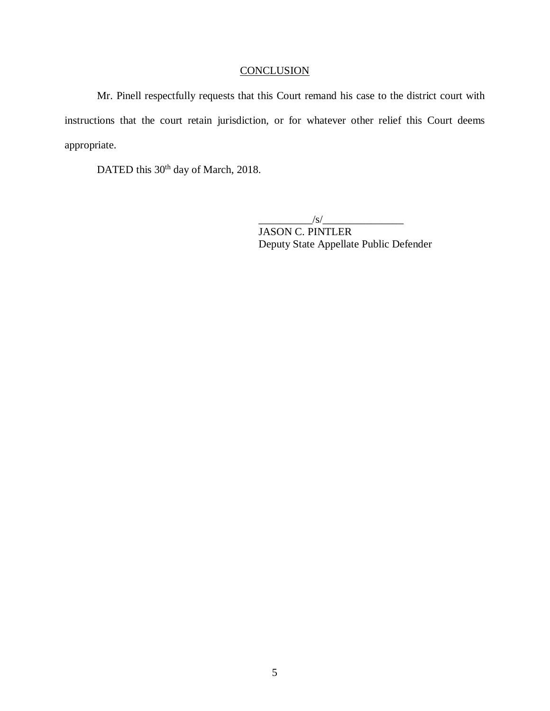# **CONCLUSION**

Mr. Pinell respectfully requests that this Court remand his case to the district court with instructions that the court retain jurisdiction, or for whatever other relief this Court deems appropriate.

DATED this 30<sup>th</sup> day of March, 2018.

 $\frac{1}{s}$  /s/ $\frac{1}{s}$ JASON C. PINTLER Deputy State Appellate Public Defender